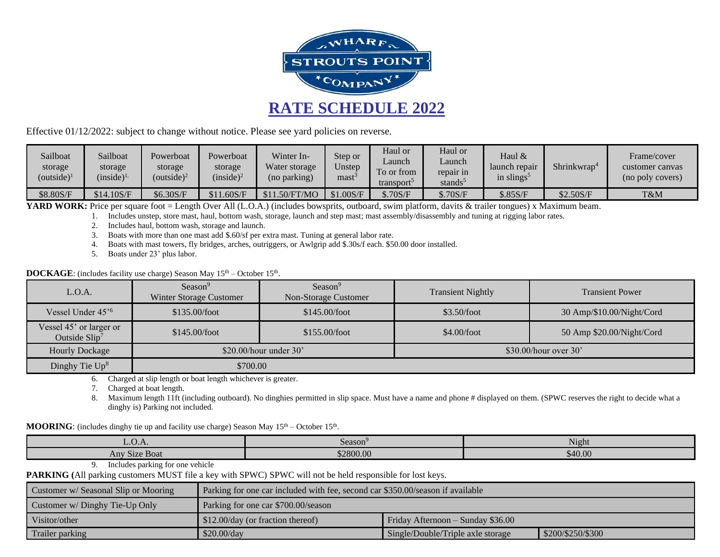

Effective 01/12/2022: subject to change without notice. Please see yard policies on reverse.

| Sailboat<br>storage<br>(outside) $1$ | Sailboat<br>storage<br>$(inside)^{1}$ | Powerboat<br>storage<br>$(outside)^2$ | Powerboat<br>storage<br>(inside) <sup>2</sup> | Winter In-<br>Water storage<br>(no parking) | Step or<br>Unstep<br>mast | Haul or<br>Launch<br>$\overline{ }$<br>To or from<br>transport | Haul or<br>∟aunch<br>repair in<br>stands <sup>5</sup> | Haul &<br>launch repair<br>in slings <sup>5</sup> | Shrinkwran <sup>4</sup> | Frame/cover<br>customer canvas<br>(no poly covers) |
|--------------------------------------|---------------------------------------|---------------------------------------|-----------------------------------------------|---------------------------------------------|---------------------------|----------------------------------------------------------------|-------------------------------------------------------|---------------------------------------------------|-------------------------|----------------------------------------------------|
| \$8.80S/F                            | \$14.10S/F                            | \$6.30S/F                             | \$11.60S/F                                    | 1.50/FT/MO                                  | \$1.00S/F                 | \$.70S/F                                                       | \$.70S/F                                              | \$.85S/F                                          | \$2.50S/F               | T&M                                                |

**YARD WORK:** Price per square foot = Length Over All (L.O.A.) (includes bowsprits, outboard, swim platform, davits & trailer tongues) x Maximum beam.

1. Includes unstep, store mast, haul, bottom wash, storage, launch and step mast; mast assembly/disassembly and tuning at rigging labor rates.

- 2. Includes haul, bottom wash, storage and launch.
- 3. Boats with more than one mast add \$.60/sf per extra mast. Tuning at general labor rate.
- 4. Boats with mast towers, fly bridges, arches, outriggers, or Awlgrip add \$.30s/f each. \$50.00 door installed.
- 5. Boats under 23' plus labor.

**DOCKAGE**: (includes facility use charge) Season May 15<sup>th</sup> – October 15<sup>th</sup>.

| L.O.A.                                     | Season <sup>9</sup><br>Winter Storage Customer | Season <sup>9</sup><br>Non-Storage Customer | <b>Transient Nightly</b> | <b>Transient Power</b>    |  |
|--------------------------------------------|------------------------------------------------|---------------------------------------------|--------------------------|---------------------------|--|
| Vessel Under 45' <sup>6</sup>              | \$135.00/foot                                  | \$145.00/foot                               | \$3.50/foot              | 30 Amp/\$10.00/Night/Cord |  |
| Vessel 45' or larger or<br>Outside $Slip7$ | \$145.00/foot                                  | \$4.00/foot<br>\$155.00/foot                |                          | 50 Amp \$20.00/Night/Cord |  |
| Hourly Dockage                             |                                                | $$20.00/h$ our under 30'                    | $$30.00/h$ our over 30'  |                           |  |
| Dinghy Tie $Up^8$                          | \$700.00                                       |                                             |                          |                           |  |

6. Charged at slip length or boat length whichever is greater.

7. Charged at boat length.

8. Maximum length 11ft (including outboard). No dinghies permitted in slip space. Must have a name and phone # displayed on them. (SPWC reserves the right to decide what a dinghy is) Parking not included.

## **MOORING**: (includes dinghy tie up and facility use charge) Season May  $15<sup>th</sup>$  – October  $15<sup>th</sup>$ .

| L.U.A.                  | Season <sup>3</sup> | Night   |
|-------------------------|---------------------|---------|
| $\sim$<br>Any Size Boat | \$2800.00           | \$40.00 |

## 9. Includes parking for one vehicle

**PARKING (**All parking customers MUST file a key with SPWC) SPWC will not be held responsible for lost keys.

| Customer w/ Seasonal Slip or Mooring | Parking for one car included with fee, second car \$350.00/season if available |                                   |                   |  |
|--------------------------------------|--------------------------------------------------------------------------------|-----------------------------------|-------------------|--|
| Customer w/ Dinghy Tie-Up Only       | Parking for one car \$700.00/season                                            |                                   |                   |  |
| Visitor/other                        | $\frac{1}{2}$ \$12.00/day (or fraction thereof)                                | Friday Afternoon – Sunday \$36.00 |                   |  |
| Trailer parking                      | \$20.00/dav                                                                    | Single/Double/Triple axle storage | \$200/\$250/\$300 |  |